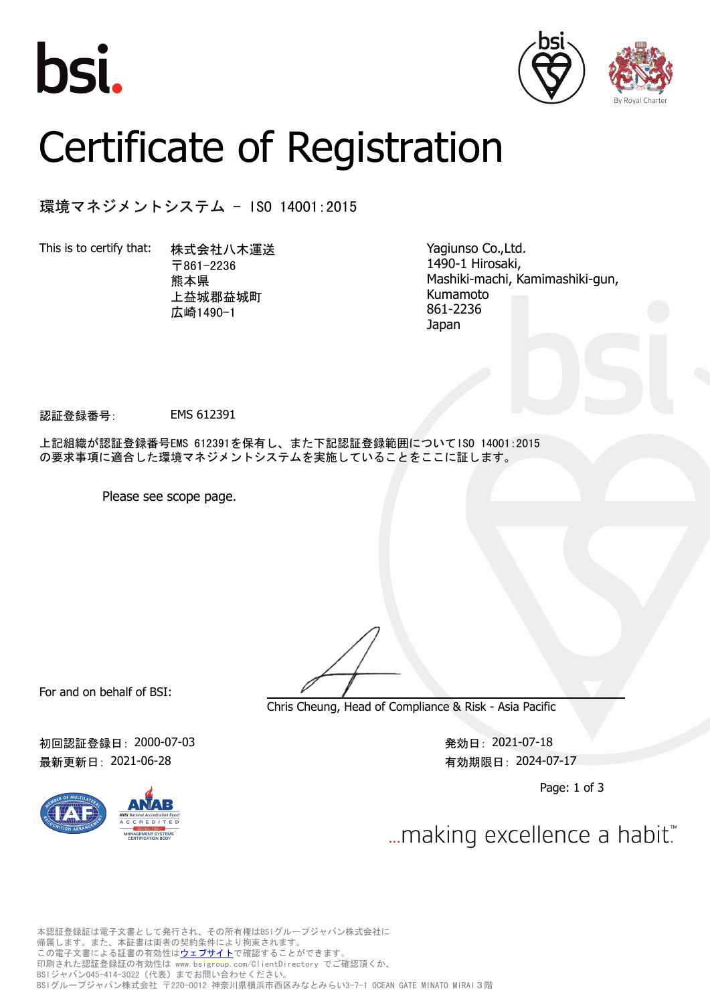





## Certificate of Registration

環境マネジメントシステム - ISO 14001:2015

This is to certify that: 株式会社八木運送

〒861-2236 熊本県 上益城郡益城町 広崎1490-1

Yagiunso Co.,Ltd. 1490-1 Hirosaki, Mashiki-machi, Kamimashiki-gun, Kumamoto 861-2236 Japan

認証登録番号: EMS 612391

上記組織が認証登録番号EMS 612391を保有し、また下記認証登録範囲についてISO 14001:2015 の要求事項に適合した環境マネジメントシステムを実施していることをここに証します。

Please see scope page.

For and on behalf of BSI:

初回認証登録日:2000-07-03 わからのあるのは、このことについて、この21-07-18 第2021-07-18 最新更新日:2021-06-28 http://www.facebook.com/discoversite/second/second/second/second/



Chris Cheung, Head of Compliance & Risk - Asia Pacific

Page: 1 of 3

... making excellence a habit."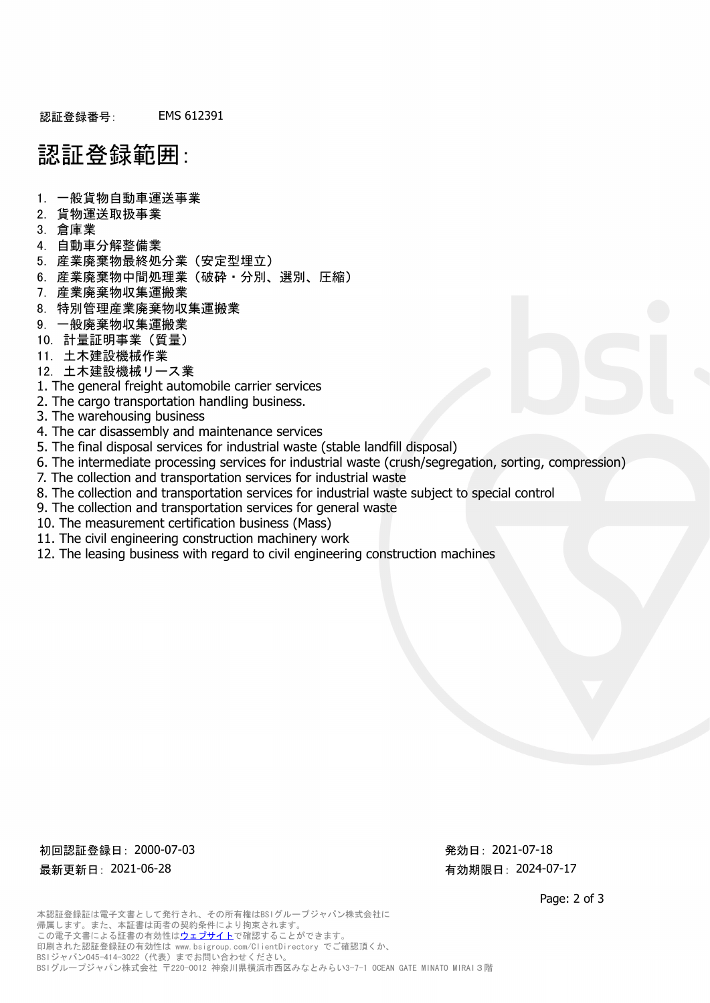## 認証登録範囲:

- 1. 一般貨物自動車運送事業
- 2. 貨物運送取扱事業
- 3. 倉庫業
- 4. 自動車分解整備業
- 5. 産業廃棄物最終処分業(安定型埋立)
- 6. 産業廃棄物中間処理業(破砕・分別、選別、圧縮)
- 7. 産業廃棄物収集運搬業
- 8. 特別管理産業廃棄物収集運搬業
- 9. 一般廃棄物収集運搬業
- 10. 計量証明事業(質量)
- 11. 土木建設機械作業
- 12. 土木建設機械リース業
- 1. The general freight automobile carrier services
- 2. The cargo transportation handling business.
- 3. The warehousing business
- 4. The car disassembly and maintenance services
- 5. The final disposal services for industrial waste (stable landfill disposal)
- 6. The intermediate processing services for industrial waste (crush/segregation, sorting, compression)
- 7. The collection and transportation services for industrial waste
- 8. The collection and transportation services for industrial waste subject to special control
- 9. The collection and transportation services for general waste
- 10. The measurement certification business (Mass)
- 11. The civil engineering construction machinery work
- 12. The leasing business with regard to civil engineering construction machines

初回認証登録日: 2000-07-03 わからのある おおし アンチョウ アンチョウ 発効日: 2021-07-18 最新更新日: 2021-06-28 わらからのある あいまん あいまん 有効期限日: 2024-07-17

Page: 2 of 3